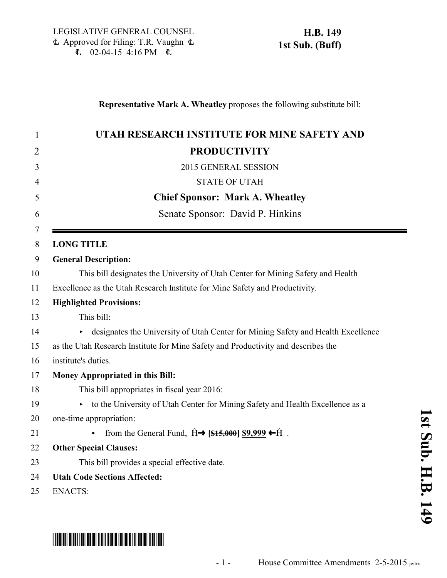| UTAH RESEARCH INSTITUTE FOR MINE SAFETY AND                                                         |
|-----------------------------------------------------------------------------------------------------|
| <b>PRODUCTIVITY</b>                                                                                 |
| 2015 GENERAL SESSION                                                                                |
| <b>STATE OF UTAH</b>                                                                                |
| <b>Chief Sponsor: Mark A. Wheatley</b>                                                              |
| Senate Sponsor: David P. Hinkins                                                                    |
| <b>LONG TITLE</b>                                                                                   |
| <b>General Description:</b>                                                                         |
| This bill designates the University of Utah Center for Mining Safety and Health                     |
| Excellence as the Utah Research Institute for Mine Safety and Productivity.                         |
| <b>Highlighted Provisions:</b>                                                                      |
| This bill:                                                                                          |
| designates the University of Utah Center for Mining Safety and Health Excellence                    |
| as the Utah Research Institute for Mine Safety and Productivity and describes the                   |
| institute's duties.                                                                                 |
| Money Appropriated in this Bill:                                                                    |
| This bill appropriates in fiscal year 2016:                                                         |
| to the University of Utah Center for Mining Safety and Health Excellence as a<br>▶.                 |
| one-time appropriation:                                                                             |
| from the General Fund, $\hat{H} \rightarrow$ [\$15,000] \$9,999 $\leftarrow \hat{H}$ .<br>$\bullet$ |
| <b>Other Special Clauses:</b>                                                                       |
| This bill provides a special effective date.                                                        |
| <b>Utah Code Sections Affected:</b>                                                                 |
| <b>ENACTS:</b>                                                                                      |

## \*HB0149S01\*